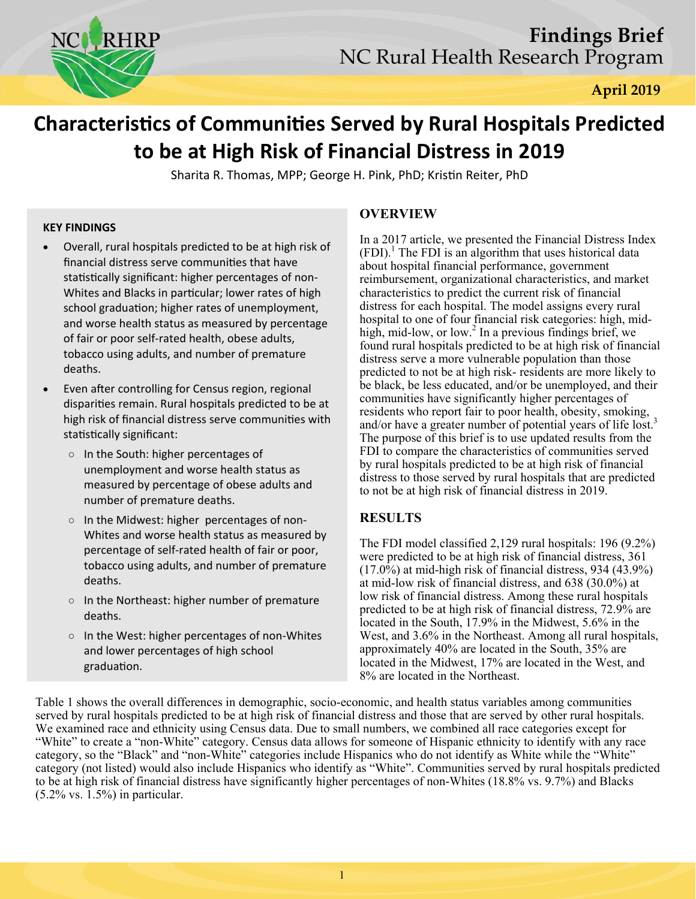

# **CharacterisƟcs of CommuniƟes Served by Rural Hospitals Predicted to be at High Risk of Financial Distress in 2019**

Sharita R. Thomas, MPP; George H. Pink, PhD; Kristin Reiter, PhD

## **KEY FINDINGS**

- Overall, rural hospitals predicted to be at high risk of financial distress serve communities that have statistically significant: higher percentages of non-Whites and Blacks in particular; lower rates of high school graduation; higher rates of unemployment, and worse health status as measured by percentage of fair or poor self‐rated health, obese adults, tobacco using adults, and number of premature deaths.
- Even after controlling for Census region, regional dispariƟes remain. Rural hospitals predicted to be at high risk of financial distress serve communities with statistically significant:
	- In the South: higher percentages of unemployment and worse health status as measured by percentage of obese adults and number of premature deaths.
	- In the Midwest: higher percentages of non‐ Whites and worse health status as measured by percentage of self‐rated health of fair or poor, tobacco using adults, and number of premature deaths.
	- In the Northeast: higher number of premature deaths.
	- In the West: higher percentages of non‐Whites and lower percentages of high school graduaƟon.

# **OVERVIEW**

In a 2017 article, we presented the Financial Distress Index  $(FDI)$ .<sup>1</sup> The FDI is an algorithm that uses historical data about hospital financial performance, government reimbursement, organizational characteristics, and market characteristics to predict the current risk of financial distress for each hospital. The model assigns every rural hospital to one of four financial risk categories: high, midhigh, mid-low, or low.<sup>2</sup> In a previous findings brief, we found rural hospitals predicted to be at high risk of financial distress serve a more vulnerable population than those predicted to not be at high risk- residents are more likely to be black, be less educated, and/or be unemployed, and their communities have significantly higher percentages of residents who report fair to poor health, obesity, smoking, and/or have a greater number of potential years of life lost.<sup>3</sup> The purpose of this brief is to use updated results from the FDI to compare the characteristics of communities served by rural hospitals predicted to be at high risk of financial distress to those served by rural hospitals that are predicted to not be at high risk of financial distress in 2019.

# **RESULTS**

The FDI model classified 2,129 rural hospitals: 196 (9.2%) were predicted to be at high risk of financial distress, 361 (17.0%) at mid-high risk of financial distress, 934 (43.9%) at mid-low risk of financial distress, and 638 (30.0%) at low risk of financial distress. Among these rural hospitals predicted to be at high risk of financial distress, 72.9% are located in the South, 17.9% in the Midwest, 5.6% in the West, and 3.6% in the Northeast. Among all rural hospitals, approximately 40% are located in the South, 35% are located in the Midwest, 17% are located in the West, and 8% are located in the Northeast.

Table 1 shows the overall differences in demographic, socio-economic, and health status variables among communities served by rural hospitals predicted to be at high risk of financial distress and those that are served by other rural hospitals. We examined race and ethnicity using Census data. Due to small numbers, we combined all race categories except for "White" to create a "non-White" category. Census data allows for someone of Hispanic ethnicity to identify with any race category, so the "Black" and "non-White" categories include Hispanics who do not identify as White while the "White" category (not listed) would also include Hispanics who identify as "White". Communities served by rural hospitals predicted to be at high risk of financial distress have significantly higher percentages of non-Whites (18.8% vs. 9.7%) and Blacks  $(5.2\% \text{ vs. } 1.5\%)$  in particular.

1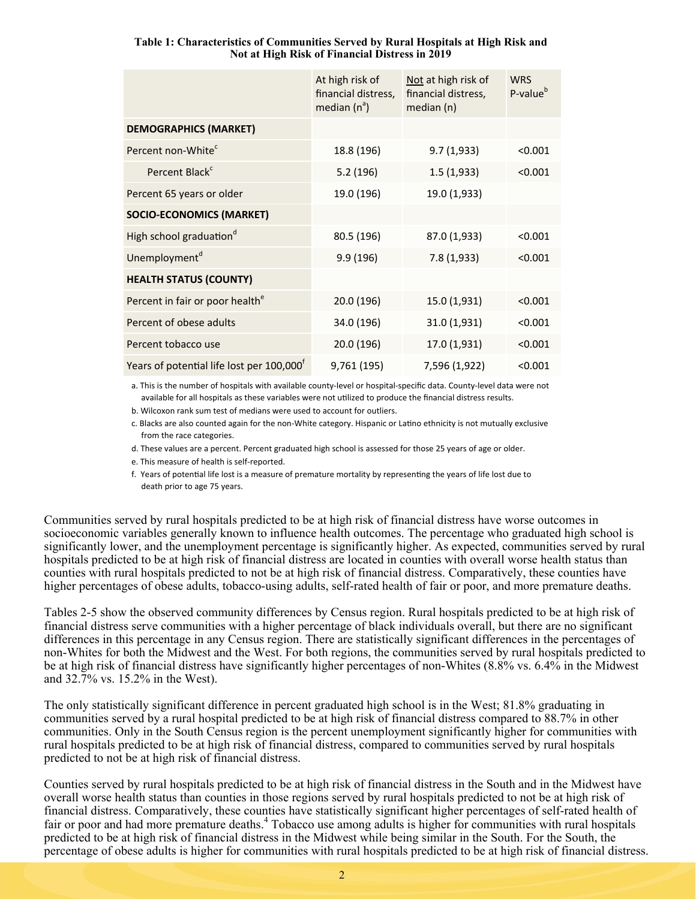|                                             | At high risk of<br>financial distress,<br>median $(n^a)$ | Not at high risk of<br>financial distress,<br>median (n) | <b>WRS</b><br>P-value <sup>b</sup> |
|---------------------------------------------|----------------------------------------------------------|----------------------------------------------------------|------------------------------------|
| <b>DEMOGRAPHICS (MARKET)</b>                |                                                          |                                                          |                                    |
| Percent non-White <sup>c</sup>              | 18.8 (196)                                               | 9.7(1,933)                                               | < 0.001                            |
| Percent Black <sup>c</sup>                  | 5.2(196)                                                 | 1.5(1,933)                                               | < 0.001                            |
| Percent 65 years or older                   | 19.0 (196)                                               | 19.0 (1,933)                                             |                                    |
| <b>SOCIO-ECONOMICS (MARKET)</b>             |                                                          |                                                          |                                    |
| High school graduation <sup>d</sup>         | 80.5 (196)                                               | 87.0 (1,933)                                             | < 0.001                            |
| Unemployment <sup>d</sup>                   | 9.9(196)                                                 | 7.8 (1,933)                                              | < 0.001                            |
| <b>HEALTH STATUS (COUNTY)</b>               |                                                          |                                                          |                                    |
| Percent in fair or poor health <sup>e</sup> | 20.0 (196)                                               | 15.0 (1,931)                                             | < 0.001                            |
| Percent of obese adults                     | 34.0 (196)                                               | 31.0 (1,931)                                             | < 0.001                            |
| Percent tobacco use                         | 20.0 (196)                                               | 17.0 (1,931)                                             | < 0.001                            |
| Years of potential life lost per 100,000    | 9,761 (195)                                              | 7,596 (1,922)                                            | < 0.001                            |

#### **Table 1: Characteristics of Communities Served by Rural Hospitals at High Risk and Not at High Risk of Financial Distress in 2019**

a. This is the number of hospitals with available county‐level or hospital‐specific data. County‐level data were not available for all hospitals as these variables were not utilized to produce the financial distress results.

b. Wilcoxon rank sum test of medians were used to account for outliers.

c. Blacks are also counted again for the non-White category. Hispanic or Latino ethnicity is not mutually exclusive from the race categories.

d. These values are a percent. Percent graduated high school is assessed for those 25 years of age or older.

e. This measure of health is self‐reported.

f. Years of potential life lost is a measure of premature mortality by representing the years of life lost due to death prior to age 75 years.

Communities served by rural hospitals predicted to be at high risk of financial distress have worse outcomes in socioeconomic variables generally known to influence health outcomes. The percentage who graduated high school is significantly lower, and the unemployment percentage is significantly higher. As expected, communities served by rural hospitals predicted to be at high risk of financial distress are located in counties with overall worse health status than counties with rural hospitals predicted to not be at high risk of financial distress. Comparatively, these counties have higher percentages of obese adults, tobacco-using adults, self-rated health of fair or poor, and more premature deaths.

Tables 2-5 show the observed community differences by Census region. Rural hospitals predicted to be at high risk of financial distress serve communities with a higher percentage of black individuals overall, but there are no significant differences in this percentage in any Census region. There are statistically significant differences in the percentages of non-Whites for both the Midwest and the West. For both regions, the communities served by rural hospitals predicted to be at high risk of financial distress have significantly higher percentages of non-Whites (8.8% vs. 6.4% in the Midwest and 32.7% vs. 15.2% in the West).

The only statistically significant difference in percent graduated high school is in the West; 81.8% graduating in communities served by a rural hospital predicted to be at high risk of financial distress compared to 88.7% in other communities. Only in the South Census region is the percent unemployment significantly higher for communities with rural hospitals predicted to be at high risk of financial distress, compared to communities served by rural hospitals predicted to not be at high risk of financial distress.

Counties served by rural hospitals predicted to be at high risk of financial distress in the South and in the Midwest have overall worse health status than counties in those regions served by rural hospitals predicted to not be at high risk of financial distress. Comparatively, these counties have statistically significant higher percentages of self-rated health of fair or poor and had more premature deaths.<sup>4</sup> Tobacco use among adults is higher for communities with rural hospitals predicted to be at high risk of financial distress in the Midwest while being similar in the South. For the South, the percentage of obese adults is higher for communities with rural hospitals predicted to be at high risk of financial distress.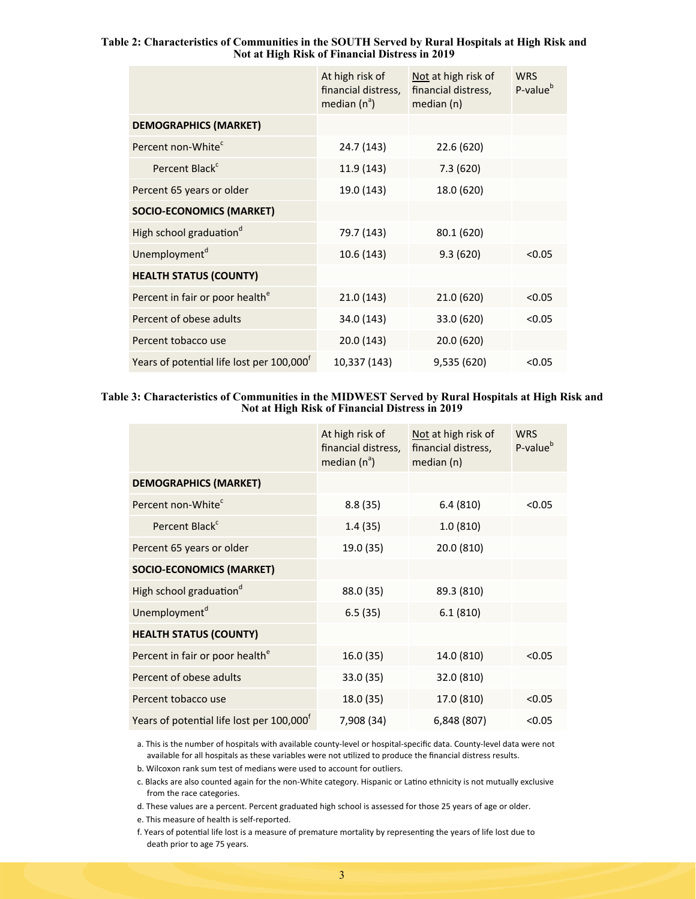#### **Table 2: Characteristics of Communities in the SOUTH Served by Rural Hospitals at High Risk and Not at High Risk of Financial Distress in 2019**

|                                                       | At high risk of<br>financial distress,<br>median $(n^a)$ | Not at high risk of<br>financial distress,<br>median (n) | <b>WRS</b><br>P-value <sup>b</sup> |
|-------------------------------------------------------|----------------------------------------------------------|----------------------------------------------------------|------------------------------------|
| <b>DEMOGRAPHICS (MARKET)</b>                          |                                                          |                                                          |                                    |
| Percent non-White <sup>c</sup>                        | 24.7 (143)                                               | 22.6 (620)                                               |                                    |
| Percent Black <sup>c</sup>                            | 11.9 (143)                                               | 7.3(620)                                                 |                                    |
| Percent 65 years or older                             | 19.0 (143)                                               | 18.0 (620)                                               |                                    |
| <b>SOCIO-ECONOMICS (MARKET)</b>                       |                                                          |                                                          |                                    |
| High school graduation <sup>d</sup>                   | 79.7 (143)                                               | 80.1 (620)                                               |                                    |
| Unemployment <sup>d</sup>                             | 10.6 (143)                                               | 9.3(620)                                                 | < 0.05                             |
| <b>HEALTH STATUS (COUNTY)</b>                         |                                                          |                                                          |                                    |
| Percent in fair or poor health <sup>e</sup>           | 21.0 (143)                                               | 21.0 (620)                                               | < 0.05                             |
| Percent of obese adults                               | 34.0 (143)                                               | 33.0 (620)                                               | < 0.05                             |
| Percent tobacco use                                   | 20.0 (143)                                               | 20.0 (620)                                               |                                    |
| Years of potential life lost per 100,000 <sup>t</sup> | 10,337 (143)                                             | 9,535 (620)                                              | < 0.05                             |

#### **Table 3: Characteristics of Communities in the MIDWEST Served by Rural Hospitals at High Risk and Not at High Risk of Financial Distress in 2019**

|                                             | At high risk of<br>financial distress,<br>median $(n^a)$ | Not at high risk of<br>financial distress,<br>median (n) | <b>WRS</b><br>P-value <sup>b</sup> |
|---------------------------------------------|----------------------------------------------------------|----------------------------------------------------------|------------------------------------|
| <b>DEMOGRAPHICS (MARKET)</b>                |                                                          |                                                          |                                    |
| Percent non-White <sup>c</sup>              | 8.8(35)                                                  | 6.4(810)                                                 | < 0.05                             |
| Percent Black <sup>c</sup>                  | 1.4(35)                                                  | 1.0(810)                                                 |                                    |
| Percent 65 years or older                   | 19.0 (35)                                                | 20.0 (810)                                               |                                    |
| <b>SOCIO-ECONOMICS (MARKET)</b>             |                                                          |                                                          |                                    |
| High school graduation <sup>d</sup>         | 88.0 (35)                                                | 89.3 (810)                                               |                                    |
| Unemployment <sup>d</sup>                   | 6.5(35)                                                  | 6.1(810)                                                 |                                    |
| <b>HEALTH STATUS (COUNTY)</b>               |                                                          |                                                          |                                    |
| Percent in fair or poor health <sup>e</sup> | 16.0 (35)                                                | 14.0 (810)                                               | < 0.05                             |
| Percent of obese adults                     | 33.0 (35)                                                | 32.0 (810)                                               |                                    |
| Percent tobacco use                         | 18.0 (35)                                                | 17.0 (810)                                               | < 0.05                             |
| Years of potential life lost per 100,000    | 7,908 (34)                                               | 6,848 (807)                                              | < 0.05                             |

a. This is the number of hospitals with available county‐level or hospital‐specific data. County‐level data were not available for all hospitals as these variables were not utilized to produce the financial distress results.

b. Wilcoxon rank sum test of medians were used to account for outliers.

c. Blacks are also counted again for the non-White category. Hispanic or Latino ethnicity is not mutually exclusive from the race categories.

d. These values are a percent. Percent graduated high school is assessed for those 25 years of age or older.

e. This measure of health is self‐reported.

f. Years of potential life lost is a measure of premature mortality by representing the years of life lost due to death prior to age 75 years.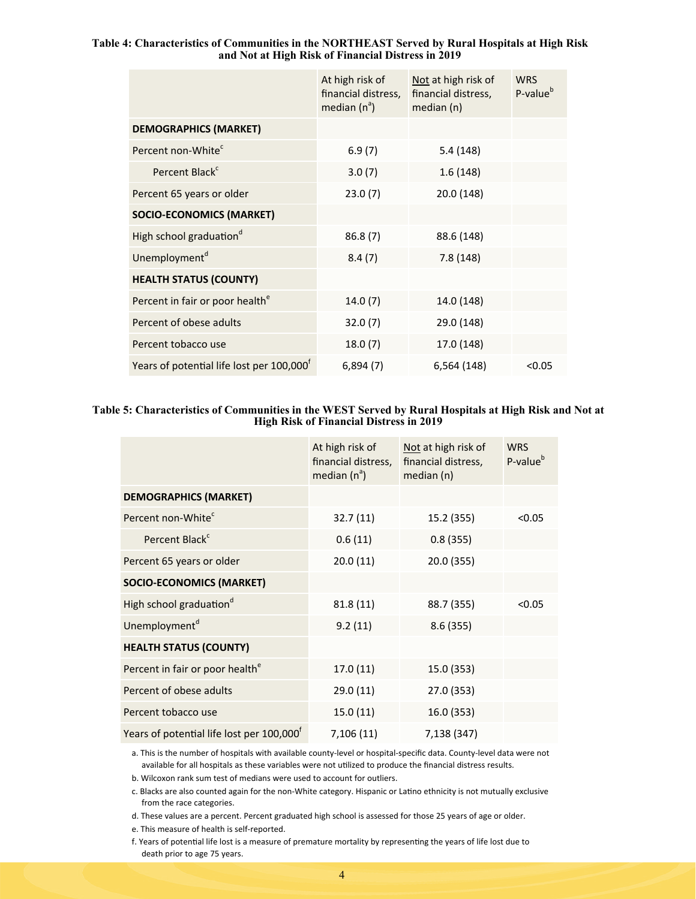#### **Table 4: Characteristics of Communities in the NORTHEAST Served by Rural Hospitals at High Risk and Not at High Risk of Financial Distress in 2019**

|                                                       | At high risk of<br>financial distress,<br>median $(n^a)$ | Not at high risk of<br>financial distress,<br>median (n) | <b>WRS</b><br>P-value <sup>b</sup> |
|-------------------------------------------------------|----------------------------------------------------------|----------------------------------------------------------|------------------------------------|
| <b>DEMOGRAPHICS (MARKET)</b>                          |                                                          |                                                          |                                    |
| Percent non-White <sup>c</sup>                        | 6.9(7)                                                   | 5.4(148)                                                 |                                    |
| Percent Black <sup>c</sup>                            | 3.0(7)                                                   | 1.6(148)                                                 |                                    |
| Percent 65 years or older                             | 23.0(7)                                                  | 20.0 (148)                                               |                                    |
| <b>SOCIO-ECONOMICS (MARKET)</b>                       |                                                          |                                                          |                                    |
| High school graduation <sup>d</sup>                   | 86.8(7)                                                  | 88.6 (148)                                               |                                    |
| Unemployment <sup>d</sup>                             | 8.4(7)                                                   | 7.8(148)                                                 |                                    |
| <b>HEALTH STATUS (COUNTY)</b>                         |                                                          |                                                          |                                    |
| Percent in fair or poor health <sup>e</sup>           | 14.0(7)                                                  | 14.0 (148)                                               |                                    |
| Percent of obese adults                               | 32.0(7)                                                  | 29.0 (148)                                               |                                    |
| Percent tobacco use                                   | 18.0(7)                                                  | 17.0 (148)                                               |                                    |
| Years of potential life lost per 100,000 <sup>t</sup> | 6,894(7)                                                 | 6,564 (148)                                              | < 0.05                             |

#### **Table 5: Characteristics of Communities in the WEST Served by Rural Hospitals at High Risk and Not at High Risk of Financial Distress in 2019**

|                                             | At high risk of<br>financial distress,<br>median $(n^a)$ | Not at high risk of<br>financial distress,<br>median (n) | <b>WRS</b><br>P-value <sup>b</sup> |
|---------------------------------------------|----------------------------------------------------------|----------------------------------------------------------|------------------------------------|
| <b>DEMOGRAPHICS (MARKET)</b>                |                                                          |                                                          |                                    |
| Percent non-White <sup>c</sup>              | 32.7(11)                                                 | 15.2 (355)                                               | < 0.05                             |
| Percent Black <sup>c</sup>                  | 0.6(11)                                                  | 0.8(355)                                                 |                                    |
| Percent 65 years or older                   | 20.0(11)                                                 | 20.0 (355)                                               |                                    |
| <b>SOCIO-ECONOMICS (MARKET)</b>             |                                                          |                                                          |                                    |
| High school graduation <sup>d</sup>         | 81.8(11)                                                 | 88.7 (355)                                               | < 0.05                             |
| Unemployment <sup>d</sup>                   | 9.2(11)                                                  | 8.6(355)                                                 |                                    |
| <b>HEALTH STATUS (COUNTY)</b>               |                                                          |                                                          |                                    |
| Percent in fair or poor health <sup>e</sup> | 17.0(11)                                                 | 15.0 (353)                                               |                                    |
| Percent of obese adults                     | 29.0(11)                                                 | 27.0 (353)                                               |                                    |
| Percent tobacco use                         | 15.0(11)                                                 | 16.0 (353)                                               |                                    |
| Years of potential life lost per 100,000    | 7,106 (11)                                               | 7,138 (347)                                              |                                    |

a. This is the number of hospitals with available county‐level or hospital‐specific data. County‐level data were not available for all hospitals as these variables were not utilized to produce the financial distress results.

b. Wilcoxon rank sum test of medians were used to account for outliers.

c. Blacks are also counted again for the non-White category. Hispanic or Latino ethnicity is not mutually exclusive from the race categories.

d. These values are a percent. Percent graduated high school is assessed for those 25 years of age or older.

e. This measure of health is self‐reported.

f. Years of potential life lost is a measure of premature mortality by representing the years of life lost due to death prior to age 75 years.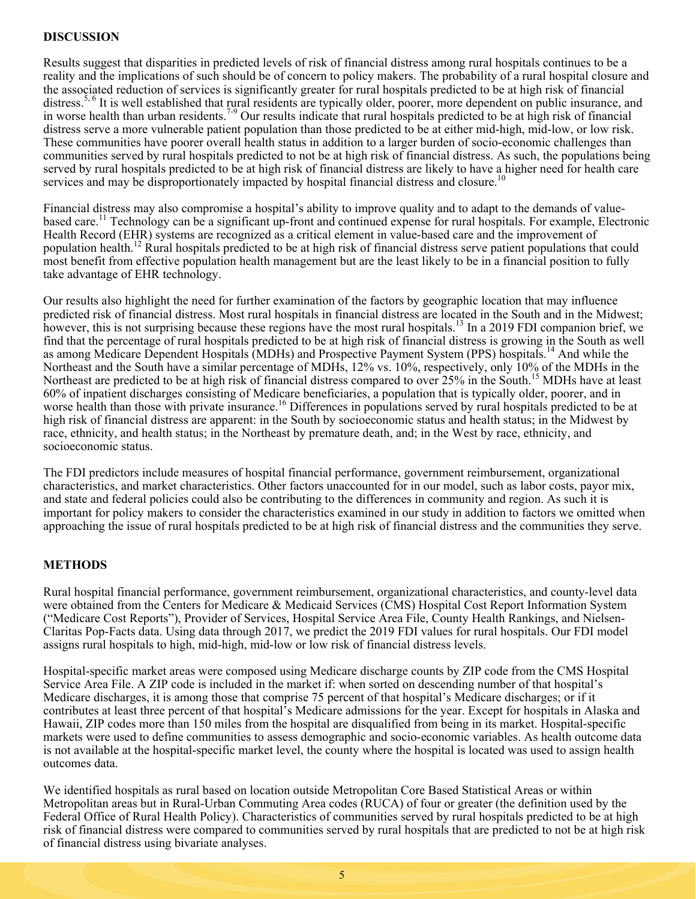# **DISCUSSION**

Results suggest that disparities in predicted levels of risk of financial distress among rural hospitals continues to be a reality and the implications of such should be of concern to policy makers. The probability of a rural hospital closure and the associated reduction of services is significantly greater for rural hospitals predicted to be at high risk of financial distress.<sup>5, 6</sup> It is well established that rural residents are typically older, poorer, more dependent on public insurance, and in worse health than urban residents.<sup>7-9</sup> Our results indicate that rural hospitals predicted to be at high risk of financial distress serve a more vulnerable patient population than those predicted to be at either mid-high, mid-low, or low risk. These communities have poorer overall health status in addition to a larger burden of socio-economic challenges than communities served by rural hospitals predicted to not be at high risk of financial distress. As such, the populations being served by rural hospitals predicted to be at high risk of financial distress are likely to have a higher need for health care services and may be disproportionately impacted by hospital financial distress and closure.<sup>10</sup>

Financial distress may also compromise a hospital's ability to improve quality and to adapt to the demands of valuebased care.<sup>11</sup> Technology can be a significant up-front and continued expense for rural hospitals. For example, Electronic Health Record (EHR) systems are recognized as a critical element in value-based care and the improvement of population health.12 Rural hospitals predicted to be at high risk of financial distress serve patient populations that could most benefit from effective population health management but are the least likely to be in a financial position to fully take advantage of EHR technology.

Our results also highlight the need for further examination of the factors by geographic location that may influence predicted risk of financial distress. Most rural hospitals in financial distress are located in the South and in the Midwest; however, this is not surprising because these regions have the most rural hospitals.<sup>13</sup> In a 2019 FDI companion brief, we find that the percentage of rural hospitals predicted to be at high risk of financial distress is growing in the South as well as among Medicare Dependent Hospitals (MDHs) and Prospective Payment System (PPS) hospitals.<sup>14</sup> And while the Northeast and the South have a similar percentage of MDHs, 12% vs. 10%, respectively, only 10% of the MDHs in the Northeast are predicted to be at high risk of financial distress compared to over 25% in the South.15 MDHs have at least 60% of inpatient discharges consisting of Medicare beneficiaries, a population that is typically older, poorer, and in worse health than those with private insurance.<sup>16</sup> Differences in populations served by rural hospitals predicted to be at high risk of financial distress are apparent: in the South by socioeconomic status and health status; in the Midwest by race, ethnicity, and health status; in the Northeast by premature death, and; in the West by race, ethnicity, and socioeconomic status.

The FDI predictors include measures of hospital financial performance, government reimbursement, organizational characteristics, and market characteristics. Other factors unaccounted for in our model, such as labor costs, payor mix, and state and federal policies could also be contributing to the differences in community and region. As such it is important for policy makers to consider the characteristics examined in our study in addition to factors we omitted when approaching the issue of rural hospitals predicted to be at high risk of financial distress and the communities they serve.

## **METHODS**

Rural hospital financial performance, government reimbursement, organizational characteristics, and county-level data were obtained from the Centers for Medicare & Medicaid Services (CMS) Hospital Cost Report Information System ("Medicare Cost Reports"), Provider of Services, Hospital Service Area File, County Health Rankings, and Nielsen-Claritas Pop-Facts data. Using data through 2017, we predict the 2019 FDI values for rural hospitals. Our FDI model assigns rural hospitals to high, mid-high, mid-low or low risk of financial distress levels.

Hospital-specific market areas were composed using Medicare discharge counts by ZIP code from the CMS Hospital Service Area File. A ZIP code is included in the market if: when sorted on descending number of that hospital's Medicare discharges, it is among those that comprise 75 percent of that hospital's Medicare discharges; or if it contributes at least three percent of that hospital's Medicare admissions for the year. Except for hospitals in Alaska and Hawaii, ZIP codes more than 150 miles from the hospital are disqualified from being in its market. Hospital-specific markets were used to define communities to assess demographic and socio-economic variables. As health outcome data is not available at the hospital-specific market level, the county where the hospital is located was used to assign health outcomes data.

We identified hospitals as rural based on location outside Metropolitan Core Based Statistical Areas or within Metropolitan areas but in Rural-Urban Commuting Area codes (RUCA) of four or greater (the definition used by the Federal Office of Rural Health Policy). Characteristics of communities served by rural hospitals predicted to be at high risk of financial distress were compared to communities served by rural hospitals that are predicted to not be at high risk of financial distress using bivariate analyses.